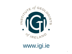

# www.igi.ie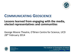

### **COMMUNICATING GEOSCIENCE**

### **Lessons learned from engaging with the media, elected representatives and communities**

George Moore Theatre, O'Brien Centre for Science, UCD 28<sup>th</sup> February 2014



*Member of the European Federation of Geologists*

The Institute of Geologists of Ireland 63 Merrion Square, Dublin 2, Ireland Tel:  $+353$  1 662 4914 e-mail: [info@igi.ie](mailto:info@igi.ie) web: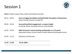### Session 1



**Chair** Dr Marie Cowan *PGeo*, GSNI and IGI Board member

*European Federation* 

09:15 – 09:50 **How to Engage the Media and Build Public Perception of Geoscience** Sonya Cassidy, Director, Cassidy PR 09:50 – 10:20 **Successful political engagement: a unique insight** Conall Mc Devitt, Associate Partner, Hume Brophy 10:20 – 10:50 **INGV terremoti: communicating earthquakes in a 2.0 world** Alessandro Amato, former Head of Italian National Earthquake Centre 10:50 – 11:10 Questions and Answers ……………………………………………………………………………………………………… **11:10 – 11:30 Tea & coffee** ………………………………………………………………………………………………………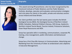#### **Sonya Cassidy, Director Cassidy PR**





This award winning PR practitioner, who has been recognised by the Chartered Institute of Public Relations and the Public Relations Institute, develops, executes and evaluates communication strategies and crisis plans for clients in the public, private and voluntary sectors across Ireland and Great Britain.

Her client portfolio over the last twenty years includes the British Geological Survey (BGS), the Geological Survey of Northern Ireland (GSNI), Dalradian, National Children's Bureau, SHS Group, Gaelectric, Northern Ireland Tourist Board, Tourism Ireland, Firstsource Solutions, Down Royal Racecourse and IKEA.

Sonya has specialist skills in marketing, communications, corporate PR, training, crisis management, public information and behavioural change.

Sonya has a First Class BSc Honours in Communication, Advertising and Marketing from the University of Ulster at Jordanstown and a diploma in Executive Management.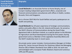#### **Conall McDevitt, Associate Partner Hume Brophy**

#### **Biography**



**Conall McDevitt** is an Associate Partner at Hume Brophy, one of Europe's leading independent government affairs, corporate and financial communications consultancies with offices in Dublin, London, Brussels, Paris and Singapore.

He is a former SDLP MLA for South Belfast and party spokesperson on health and policing.

**Conall McDevitt** has 20 years experience of strategic communications, politics and public affairs in the UK, Ireland and Brussels. He served as the SDLP's Director of Communications during the Good Friday Agreement talks in Northern Ireland, as a special adviser to the Minister for Agriculture and Rural development during the first power sharing government and as a Member of the Legislative Assembly (MLA) and the SDLP's leadership team in recent years.

His private sector career includes; Communications Manager at Viridian Group PLC, Senior Account Director for Fleishman Hillard and Managing Director (NI) of Weber Shandwick from 2006 to 2010. His work was acknowledged with a European Public Relations Award and numerous CIPR and IPR awards.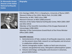| <b>Dr Alessandro Amato</b><br><b>Director of the Italian</b><br><b>National Earthquake</b><br><b>Centre</b> | <b>Biography</b>                                                                                                                                                                                                                                                                                                                                                                                                                                                                                                                                                                                                                                                                     |
|-------------------------------------------------------------------------------------------------------------|--------------------------------------------------------------------------------------------------------------------------------------------------------------------------------------------------------------------------------------------------------------------------------------------------------------------------------------------------------------------------------------------------------------------------------------------------------------------------------------------------------------------------------------------------------------------------------------------------------------------------------------------------------------------------------------|
|                                                                                                             | B.Sc Geology (1982); Ph.D. in Geophysics, University of Rome (1987)<br>.Research fellow at the USGS, Menlo Park, CA (USA) 1988<br>•Researcher at ING / INGV since 1988<br>•Research Director at INGV (2000-present)<br>•Director of the Italian National Earthquake Center, INGV (2001-2007)<br>and 2012-2013)<br>•Member of the Scientific Committee of the Gruppo Nazionale di<br>Vulcanologia (1998-2001)<br>•Member of the Commissione Grandi Rischi of the Prime Minister<br>Office (2001-2004)<br><b>Scientific interests:</b><br>1. Seismotectonics of Italy: analysis of earthquake sequences, studies<br>on the present stress field, research on earthquakes and structure |

- in subduction-collision zones.
- 2. Seismic tomography studies: studies on fault zone structure, volcanic and geothermal areas, lithosphere-asthenosphere system.
- 3. Volcano-seismology: earthquakes and structure in volcanoes, ground deformation.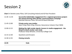## Session 2



**Chair** Dr Deirdre Lewis *PGeo*, SLR Consulting Ireland and IGI Past President

*European Federation* 

11:30 -11:45 **Successful stakeholder engagement for a regional geoscience project: the award-winning Tellus Border communications campaign** Mairéad Glennon *PGeo*, GSI and IGI Board Member 11:45-12:00 **Private sector case studies** Séan Finlay *PGeo CEng*, Director, Geoscience Ireland, Chair IMQS 12:00-12:15 **Making the right smoke signals: lessons in media engagement - the Moytirra black smoker case study** Professor Andy Wheeler, University College Cork 12:15-12:30 Questions and Answers 12:30-12:35 **Closing remarks** ……………………………………………………………………………………………………… **12:35 Ends** ………………………………………………………………………………………………………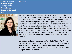**Mairéad Glennon, Assistant Project Manager ,Tellus Border Project Geological Survey of Ireland**





After completing a B.A. in Natural Science (Trinity College Dublin) and M.Sc. in Applied Hydrogeology (Newcastle University), Mairéad worked as a hydrogeologist with URS Ireland Ltd in Dublin on contaminated land and groundwater projects. Now an independent consultant, Mairéad works for the Geological Survey of Ireland on the Tellus Border project and previously as Project Geologist on the Dublin Soil Urban Geochemistry project, producing Dublin's first urban soil geochemical baseline. Mairéad is a non-executive Director and Professional Member of the Institute of Geologists of Ireland, secretary of Earth Science Ireland and a founding committee member of the Ireland Brownfield Network.

Mairéad assists in the management of the EU INTERREG IVA-funded Tellus Border work programme and associated research which have a wide range of cross-border geoscientific objectives. Mairéad also manages an award-winning programme of outreach and stakeholder engagement for Tellus Border.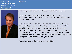**Séan Finlay Geoscience Ireland, Director – Business Development** 



**Biography**

Sean Finlay is a Professional Geologist and a Chartered Engineer.

He has 40 years experience in Project Management, leading multidisciplinary teams implementing mining, waste management and infrastructural projects.

Sean was appointed Director–Business Development of GEOSCIENCE IRELAND in September 2012. Prior to that he was a director of TOBIN Consulting Engineers. His experience includes Executive and Non-Executive Directorships of a number of public companies including Celtic Resources Holdings Plc., Glencar Mining Plc., Aurum Mining Plc. and more recently Teknomining plc. He also served as Chief Exploration Geologist at Tara Mines Ltd., Navan, Co. Meath.

He was President of the IMQS in 2009 and 2013.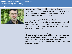#### **Professor Andy Wheeler Chair of Geology at University College Cork**

#### **Biography**



Professor Andy Wheeler holds the Chair in Geology in University College Cork (UCC) is the current Head of Geology and Principle Investigator for Marine Research in the Environmental Research Institute (UCC).

As a marine geologist, Prof. Wheeler has led numerous scientific cruises in both shelf and deep-water settings. He is interested in contemporary seabed sedimentary processes and environmental archives, and is an expert on the geology of cold-water coral reefs.

He is an advocate of informing the public about scientific discoveries and his research and ideas have been presented on television (National Geographic, RTE1) radio (Morning Ireland, Mooney Goes Wild, Newstalk, Today FM, etc), newspapers (USA Today, Irish Times, Irish Examiner, etc.) and science magazines.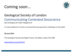### Coming soon...



### Geological Society of London Communicating Contested Geoscience

*New Strategies for Public Engagement*

*A 1-day conference on how to communicate key geoscience challenges to the public*

**20 June 2014**

The Geological Society, Burlington House, Piccadilly, London W1J 0BG

*European Federation* 

[www.geolsoc.org.uk/CCG14](http://www.geolsoc.org.uk/CCG14)